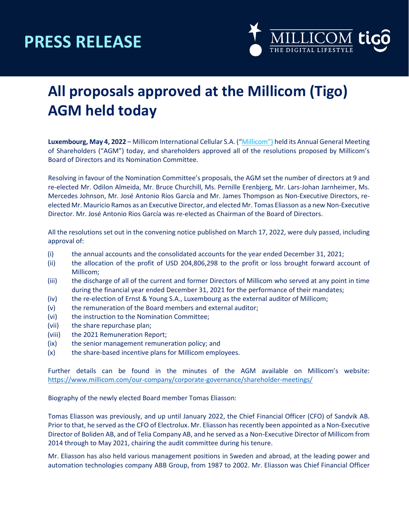## **PRESS RELEASE**



### **All proposals approved at the Millicom (Tigo) AGM held today**

**Luxembourg, May 4, 2022** – Millicom International Cellular S.A. (["Millicom"](https://www.millicom.com/)) held its Annual General Meeting of Shareholders ("AGM") today, and shareholders approved all of the resolutions proposed by Millicom's Board of Directors and its Nomination Committee.

Resolving in favour of the Nomination Committee's proposals, the AGM set the number of directors at 9 and re-elected Mr. Odilon Almeida, Mr. Bruce Churchill, Ms. Pernille Erenbjerg, Mr. Lars-Johan Jarnheimer, Ms. Mercedes Johnson, Mr. José Antonio Ríos García and Mr. James Thompson as Non-Executive Directors, reelected Mr. Mauricio Ramos as an Executive Director, and elected Mr. Tomas Eliasson as a new Non-Executive Director. Mr. José Antonio Rios García was re-elected as Chairman of the Board of Directors.

All the resolutions set out in the convening notice published on March 17, 2022, were duly passed, including approval of:

- (i) the annual accounts and the consolidated accounts for the year ended December 31, 2021;
- (ii) the allocation of the profit of USD 204,806,298 to the profit or loss brought forward account of Millicom;
- (iii) the discharge of all of the current and former Directors of Millicom who served at any point in time during the financial year ended December 31, 2021 for the performance of their mandates;
- (iv) the re-election of Ernst & Young S.A., Luxembourg as the external auditor of Millicom;
- (v) the remuneration of the Board members and external auditor;
- (vi) the instruction to the Nomination Committee;
- (vii) the share repurchase plan;
- (viii) the 2021 Remuneration Report;
- (ix) the senior management remuneration policy; and
- (x) the share-based incentive plans for Millicom employees.

Further details can be found in the minutes of the AGM available on Millicom's website: <https://www.millicom.com/our-company/corporate-governance/shareholder-meetings/>

Biography of the newly elected Board member Tomas Eliasson:

Tomas Eliasson was previously, and up until January 2022, the Chief Financial Officer (CFO) of Sandvik AB. Prior to that, he served as the CFO of Electrolux. Mr. Eliasson has recently been appointed as a Non-Executive Director of Boliden AB, and of Telia Company AB, and he served as a Non-Executive Director of Millicom from 2014 through to May 2021, chairing the audit committee during his tenure.

Mr. Eliasson has also held various management positions in Sweden and abroad, at the leading power and automation technologies company ABB Group, from 1987 to 2002. Mr. Eliasson was Chief Financial Officer